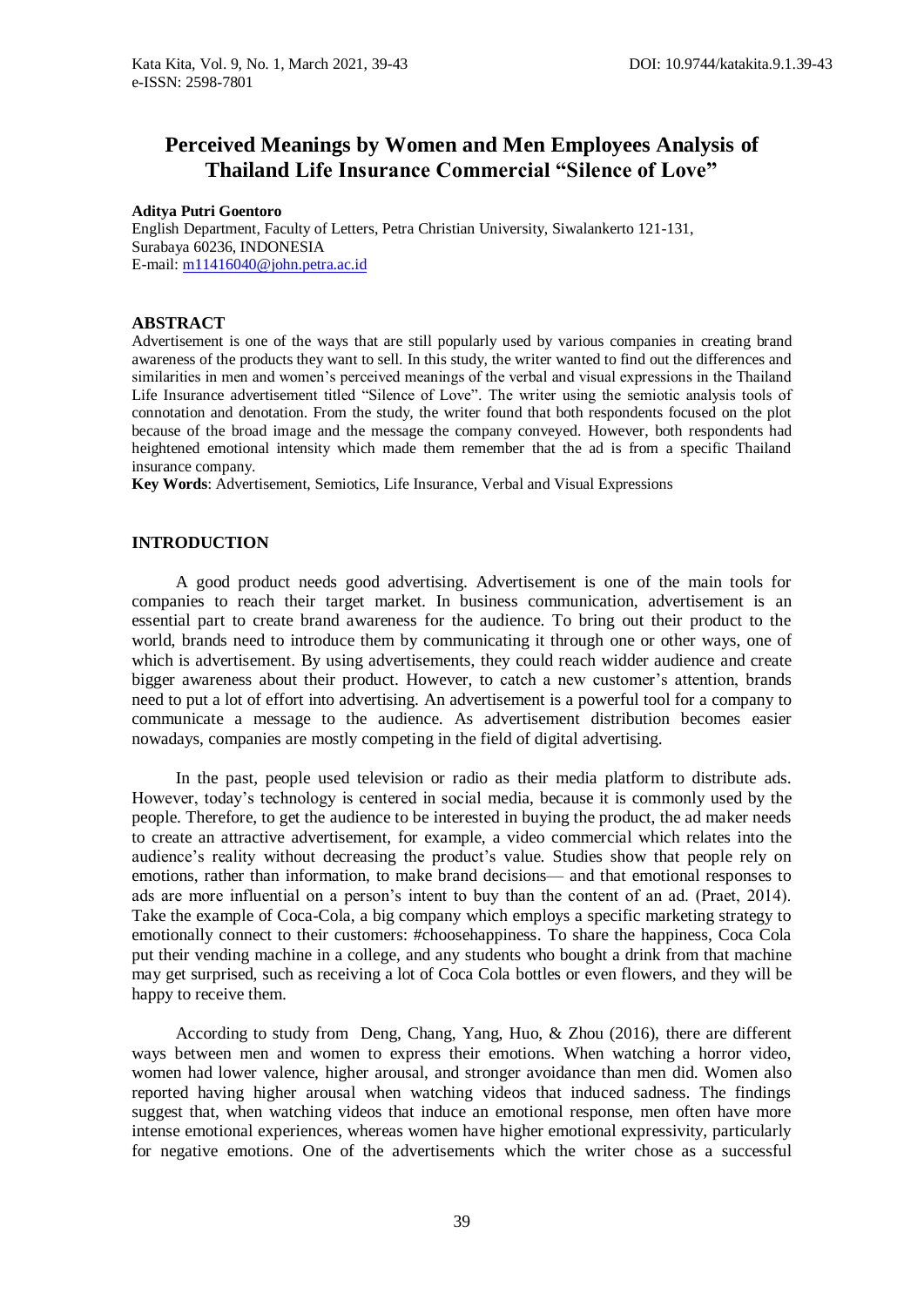# **Perceived Meanings by Women and Men Employees Analysis of Thailand Life Insurance Commercial "Silence of Love"**

#### **Aditya Putri Goentoro**

English Department, Faculty of Letters, Petra Christian University, Siwalankerto 121-131, Surabaya 60236, INDONESIA E-mail[: m11416040@john.petra.ac.id](mailto:m11416040@john.petra.ac.id)

## **ABSTRACT**

Advertisement is one of the ways that are still popularly used by various companies in creating brand awareness of the products they want to sell. In this study, the writer wanted to find out the differences and similarities in men and women's perceived meanings of the verbal and visual expressions in the Thailand Life Insurance advertisement titled "Silence of Love". The writer using the semiotic analysis tools of connotation and denotation. From the study, the writer found that both respondents focused on the plot because of the broad image and the message the company conveyed. However, both respondents had heightened emotional intensity which made them remember that the ad is from a specific Thailand insurance company.

**Key Words**: Advertisement, Semiotics, Life Insurance, Verbal and Visual Expressions

# **INTRODUCTION**

A good product needs good advertising. Advertisement is one of the main tools for companies to reach their target market. In business communication, advertisement is an essential part to create brand awareness for the audience. To bring out their product to the world, brands need to introduce them by communicating it through one or other ways, one of which is advertisement. By using advertisements, they could reach widder audience and create bigger awareness about their product. However, to catch a new customer's attention, brands need to put a lot of effort into advertising. An advertisement is a powerful tool for a company to communicate a message to the audience. As advertisement distribution becomes easier nowadays, companies are mostly competing in the field of digital advertising.

In the past, people used television or radio as their media platform to distribute ads. However, today's technology is centered in social media, because it is commonly used by the people. Therefore, to get the audience to be interested in buying the product, the ad maker needs to create an attractive advertisement, for example, a video commercial which relates into the audience's reality without decreasing the product's value. Studies show that people rely on emotions, rather than information, to make brand decisions— and that emotional responses to ads are more influential on a person's intent to buy than the content of an ad. (Praet, 2014). Take the example of Coca-Cola, a big company which employs a specific marketing strategy to emotionally connect to their customers: #choosehappiness. To share the happiness, Coca Cola put their vending machine in a college, and any students who bought a drink from that machine may get surprised, such as receiving a lot of Coca Cola bottles or even flowers, and they will be happy to receive them.

According to study from Deng, Chang, Yang, Huo, & Zhou (2016), there are different ways between men and women to express their emotions. When watching a horror video, women had lower valence, higher arousal, and stronger avoidance than men did. Women also reported having higher arousal when watching videos that induced sadness. The findings suggest that, when watching videos that induce an emotional response, men often have more intense emotional experiences, whereas women have higher emotional expressivity, particularly for negative emotions. One of the advertisements which the writer chose as a successful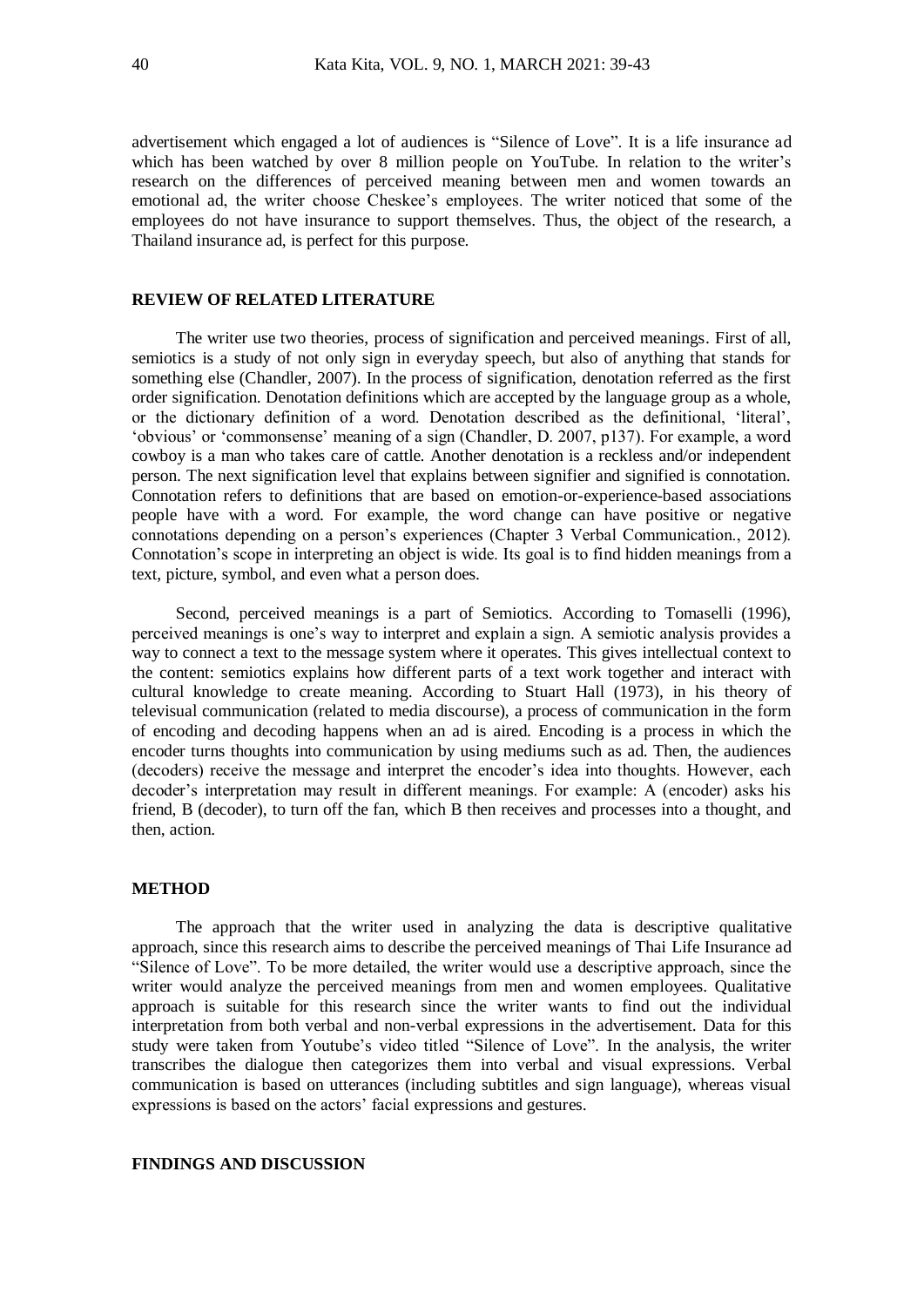advertisement which engaged a lot of audiences is "Silence of Love". It is a life insurance ad which has been watched by over 8 million people on YouTube. In relation to the writer's research on the differences of perceived meaning between men and women towards an emotional ad, the writer choose Cheskee's employees. The writer noticed that some of the employees do not have insurance to support themselves. Thus, the object of the research, a Thailand insurance ad, is perfect for this purpose.

## **REVIEW OF RELATED LITERATURE**

The writer use two theories, process of signification and perceived meanings. First of all, semiotics is a study of not only sign in everyday speech, but also of anything that stands for something else (Chandler, 2007). In the process of signification, denotation referred as the first order signification. Denotation definitions which are accepted by the language group as a whole, or the dictionary definition of a word. Denotation described as the definitional, 'literal', 'obvious' or 'commonsense' meaning of a sign (Chandler, D. 2007, p137). For example, a word cowboy is a man who takes care of cattle. Another denotation is a reckless and/or independent person. The next signification level that explains between signifier and signified is connotation. Connotation refers to definitions that are based on emotion-or-experience-based associations people have with a word. For example, the word change can have positive or negative connotations depending on a person's experiences (Chapter 3 Verbal Communication., 2012). Connotation's scope in interpreting an object is wide. Its goal is to find hidden meanings from a text, picture, symbol, and even what a person does.

Second, perceived meanings is a part of Semiotics. According to Tomaselli (1996), perceived meanings is one's way to interpret and explain a sign. A semiotic analysis provides a way to connect a text to the message system where it operates. This gives intellectual context to the content: semiotics explains how different parts of a text work together and interact with cultural knowledge to create meaning. According to Stuart Hall (1973), in his theory of televisual communication (related to media discourse), a process of communication in the form of encoding and decoding happens when an ad is aired. Encoding is a process in which the encoder turns thoughts into communication by using mediums such as ad. Then, the audiences (decoders) receive the message and interpret the encoder's idea into thoughts. However, each decoder's interpretation may result in different meanings. For example: A (encoder) asks his friend, B (decoder), to turn off the fan, which B then receives and processes into a thought, and then, action.

#### **METHOD**

The approach that the writer used in analyzing the data is descriptive qualitative approach, since this research aims to describe the perceived meanings of Thai Life Insurance ad "Silence of Love". To be more detailed, the writer would use a descriptive approach, since the writer would analyze the perceived meanings from men and women employees. Qualitative approach is suitable for this research since the writer wants to find out the individual interpretation from both verbal and non-verbal expressions in the advertisement. Data for this study were taken from Youtube's video titled "Silence of Love". In the analysis, the writer transcribes the dialogue then categorizes them into verbal and visual expressions. Verbal communication is based on utterances (including subtitles and sign language), whereas visual expressions is based on the actors' facial expressions and gestures.

# **FINDINGS AND DISCUSSION**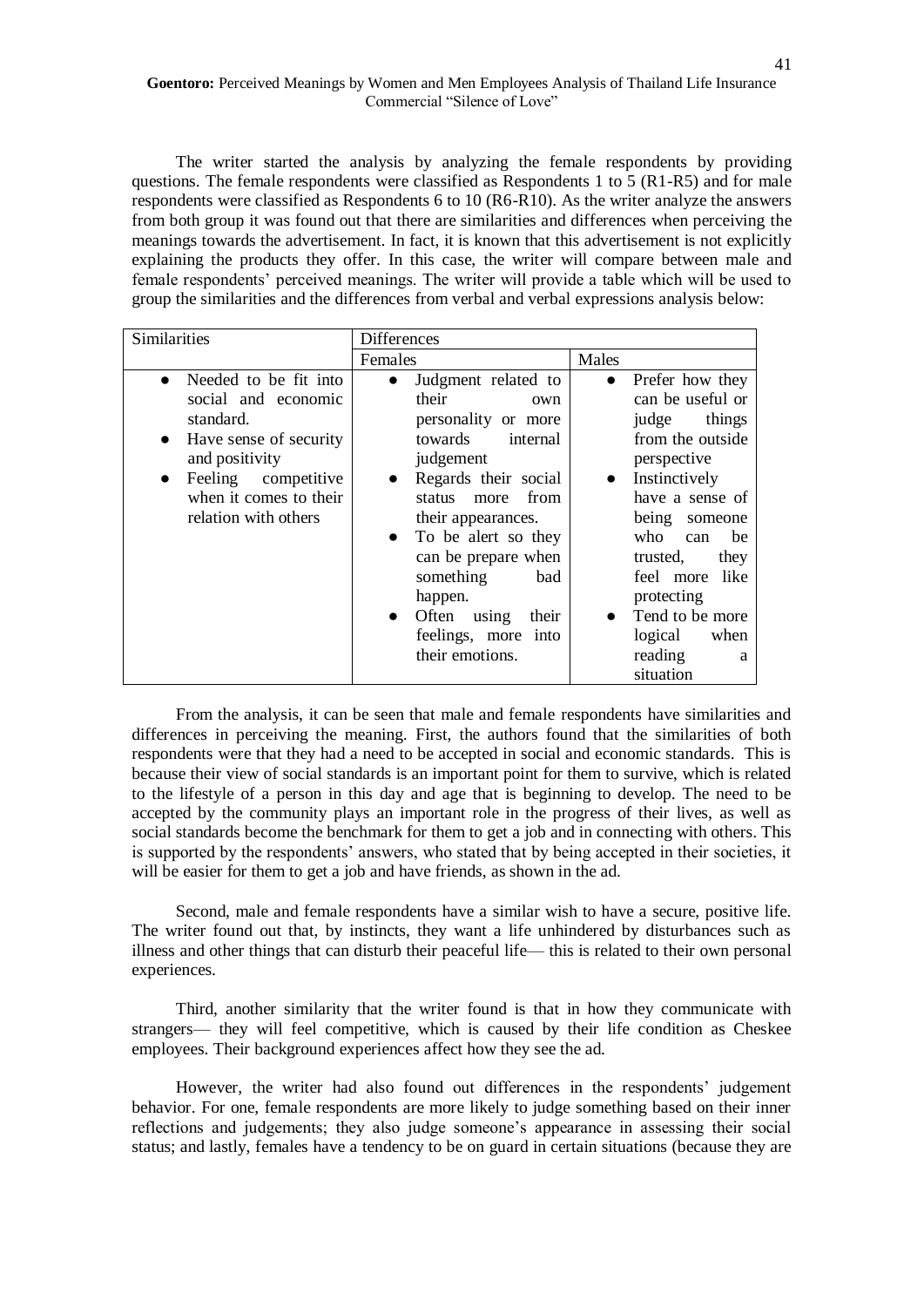The writer started the analysis by analyzing the female respondents by providing questions. The female respondents were classified as Respondents 1 to 5 (R1-R5) and for male respondents were classified as Respondents 6 to 10 (R6-R10). As the writer analyze the answers from both group it was found out that there are similarities and differences when perceiving the meanings towards the advertisement. In fact, it is known that this advertisement is not explicitly explaining the products they offer. In this case, the writer will compare between male and female respondents' perceived meanings. The writer will provide a table which will be used to group the similarities and the differences from verbal and verbal expressions analysis below:

| Similarities                                                                                                                                                                                                          | <b>Differences</b>                                                                                                                                                                                                                                                                                                                                             |                                                                                                                                                                                                                                                                                                                                     |
|-----------------------------------------------------------------------------------------------------------------------------------------------------------------------------------------------------------------------|----------------------------------------------------------------------------------------------------------------------------------------------------------------------------------------------------------------------------------------------------------------------------------------------------------------------------------------------------------------|-------------------------------------------------------------------------------------------------------------------------------------------------------------------------------------------------------------------------------------------------------------------------------------------------------------------------------------|
|                                                                                                                                                                                                                       | Females                                                                                                                                                                                                                                                                                                                                                        | Males                                                                                                                                                                                                                                                                                                                               |
| Needed to be fit into<br>$\bullet$<br>social and economic<br>standard.<br>Have sense of security<br>$\bullet$<br>and positivity<br>Feeling competitive<br>$\bullet$<br>when it comes to their<br>relation with others | Judgment related to<br>$\bullet$<br>their<br>own<br>personality or more<br>towards<br>internal<br>judgement<br>Regards their social<br>$\bullet$<br>from<br>status more<br>their appearances.<br>• To be alert so they<br>can be prepare when<br>something<br>bad<br>happen.<br>Often<br>using<br>their<br>$\bullet$<br>feelings, more into<br>their emotions. | Prefer how they<br>$\bullet$<br>can be useful or<br>things<br>judge<br>from the outside<br>perspective<br>Instinctively<br>$\bullet$<br>have a sense of<br>being<br>someone<br>who<br>be<br>can<br>trusted,<br>they<br>feel more like<br>protecting<br>Tend to be more<br>$\bullet$<br>logical<br>when<br>reading<br>а<br>situation |

From the analysis, it can be seen that male and female respondents have similarities and differences in perceiving the meaning. First, the authors found that the similarities of both respondents were that they had a need to be accepted in social and economic standards. This is because their view of social standards is an important point for them to survive, which is related to the lifestyle of a person in this day and age that is beginning to develop. The need to be accepted by the community plays an important role in the progress of their lives, as well as social standards become the benchmark for them to get a job and in connecting with others. This is supported by the respondents' answers, who stated that by being accepted in their societies, it will be easier for them to get a job and have friends, as shown in the ad.

Second, male and female respondents have a similar wish to have a secure, positive life. The writer found out that, by instincts, they want a life unhindered by disturbances such as illness and other things that can disturb their peaceful life— this is related to their own personal experiences.

Third, another similarity that the writer found is that in how they communicate with strangers— they will feel competitive, which is caused by their life condition as Cheskee employees. Their background experiences affect how they see the ad.

However, the writer had also found out differences in the respondents' judgement behavior. For one, female respondents are more likely to judge something based on their inner reflections and judgements; they also judge someone's appearance in assessing their social status; and lastly, females have a tendency to be on guard in certain situations (because they are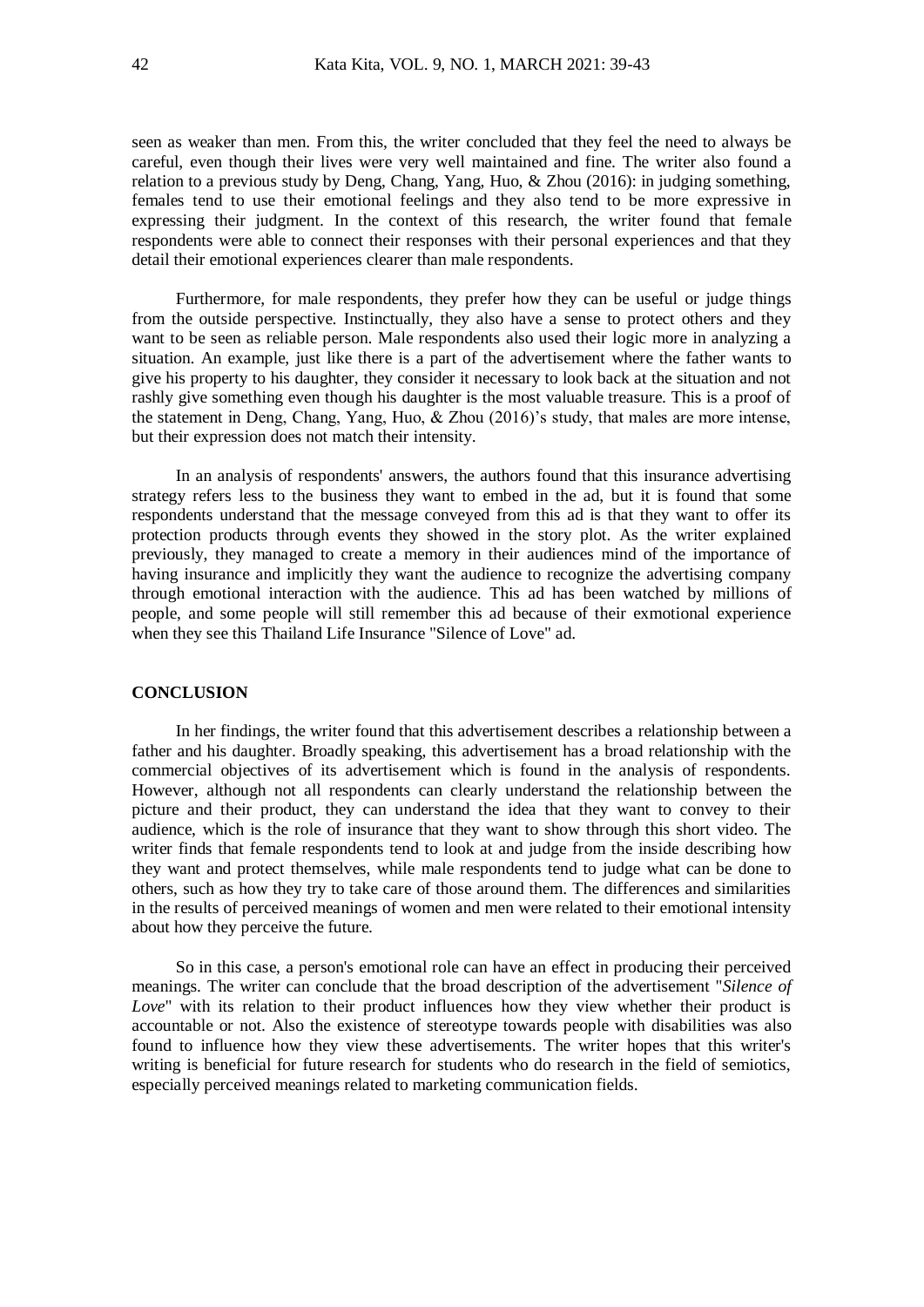seen as weaker than men. From this, the writer concluded that they feel the need to always be careful, even though their lives were very well maintained and fine. The writer also found a relation to a previous study by Deng, Chang, Yang, Huo, & Zhou (2016): in judging something, females tend to use their emotional feelings and they also tend to be more expressive in expressing their judgment. In the context of this research, the writer found that female respondents were able to connect their responses with their personal experiences and that they detail their emotional experiences clearer than male respondents.

Furthermore, for male respondents, they prefer how they can be useful or judge things from the outside perspective. Instinctually, they also have a sense to protect others and they want to be seen as reliable person. Male respondents also used their logic more in analyzing a situation. An example, just like there is a part of the advertisement where the father wants to give his property to his daughter, they consider it necessary to look back at the situation and not rashly give something even though his daughter is the most valuable treasure. This is a proof of the statement in Deng, Chang, Yang, Huo, & Zhou (2016)'s study, that males are more intense, but their expression does not match their intensity.

In an analysis of respondents' answers, the authors found that this insurance advertising strategy refers less to the business they want to embed in the ad, but it is found that some respondents understand that the message conveyed from this ad is that they want to offer its protection products through events they showed in the story plot. As the writer explained previously, they managed to create a memory in their audiences mind of the importance of having insurance and implicitly they want the audience to recognize the advertising company through emotional interaction with the audience. This ad has been watched by millions of people, and some people will still remember this ad because of their exmotional experience when they see this Thailand Life Insurance "Silence of Love" ad.

# **CONCLUSION**

In her findings, the writer found that this advertisement describes a relationship between a father and his daughter. Broadly speaking, this advertisement has a broad relationship with the commercial objectives of its advertisement which is found in the analysis of respondents. However, although not all respondents can clearly understand the relationship between the picture and their product, they can understand the idea that they want to convey to their audience, which is the role of insurance that they want to show through this short video. The writer finds that female respondents tend to look at and judge from the inside describing how they want and protect themselves, while male respondents tend to judge what can be done to others, such as how they try to take care of those around them. The differences and similarities in the results of perceived meanings of women and men were related to their emotional intensity about how they perceive the future.

So in this case, a person's emotional role can have an effect in producing their perceived meanings. The writer can conclude that the broad description of the advertisement "*Silence of Love*" with its relation to their product influences how they view whether their product is accountable or not. Also the existence of stereotype towards people with disabilities was also found to influence how they view these advertisements. The writer hopes that this writer's writing is beneficial for future research for students who do research in the field of semiotics, especially perceived meanings related to marketing communication fields.